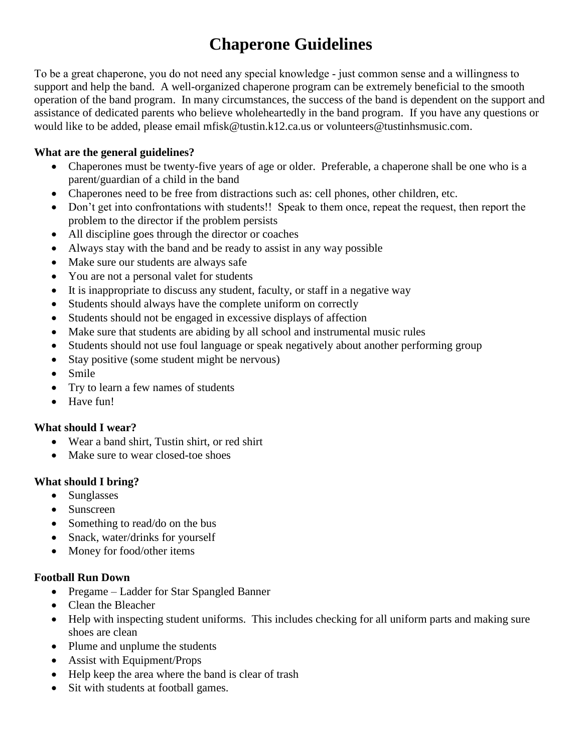# **Chaperone Guidelines**

To be a great chaperone, you do not need any special knowledge ‐ just common sense and a willingness to support and help the band. A well-organized chaperone program can be extremely beneficial to the smooth operation of the band program. In many circumstances, the success of the band is dependent on the support and assistance of dedicated parents who believe wholeheartedly in the band program. If you have any questions or would like to be added, please email mfisk@tustin.k12.ca.us or volunteers@tustinhsmusic.com.

## **What are the general guidelines?**

- Chaperones must be twenty-five years of age or older. Preferable, a chaperone shall be one who is a parent/guardian of a child in the band
- Chaperones need to be free from distractions such as: cell phones, other children, etc.
- Don't get into confrontations with students!! Speak to them once, repeat the request, then report the problem to the director if the problem persists
- All discipline goes through the director or coaches
- Always stay with the band and be ready to assist in any way possible
- Make sure our students are always safe
- You are not a personal valet for students
- It is inappropriate to discuss any student, faculty, or staff in a negative way
- Students should always have the complete uniform on correctly
- Students should not be engaged in excessive displays of affection
- Make sure that students are abiding by all school and instrumental music rules
- Students should not use foul language or speak negatively about another performing group
- Stay positive (some student might be nervous)
- Smile
- Try to learn a few names of students
- Have fun!

## **What should I wear?**

- Wear a band shirt, Tustin shirt, or red shirt
- Make sure to wear closed-toe shoes

# **What should I bring?**

- Sunglasses
- Sunscreen
- Something to read/do on the bus
- Snack, water/drinks for yourself
- Money for food/other items

## **Football Run Down**

- Pregame Ladder for Star Spangled Banner
- Clean the Bleacher
- Help with inspecting student uniforms. This includes checking for all uniform parts and making sure shoes are clean
- Plume and unplume the students
- Assist with Equipment/Props
- Help keep the area where the band is clear of trash
- Sit with students at football games.